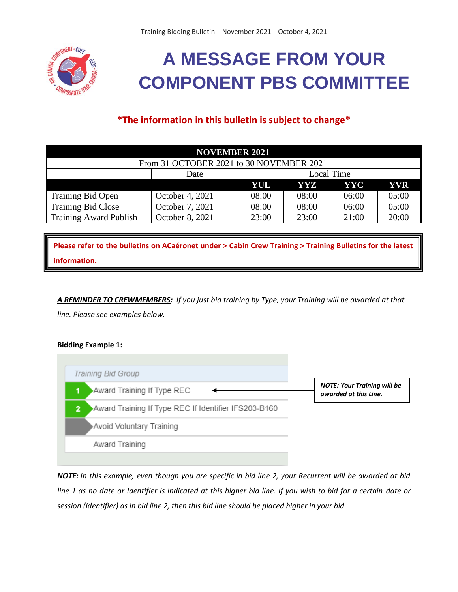

# **A MESSAGE FROM YOUR COMPONENT PBS COMMITTEE**

## **\*The information in this bulletin is subject to change\***

| <b>NOVEMBER 2021</b>                     |                 |                   |       |       |       |
|------------------------------------------|-----------------|-------------------|-------|-------|-------|
| From 31 OCTOBER 2021 to 30 NOVEMBER 2021 |                 |                   |       |       |       |
|                                          | Date            | <b>Local Time</b> |       |       |       |
|                                          |                 | YUL.              | YYZ.  | YYC   | YVR   |
| <b>Training Bid Open</b>                 | October 4, 2021 | 08:00             | 08:00 | 06:00 | 05:00 |
| <b>Training Bid Close</b>                | October 7, 2021 | 08:00             | 08:00 | 06:00 | 05:00 |
| <b>Training Award Publish</b>            | October 8, 2021 | 23:00             | 23:00 | 21:00 | 20:00 |

**Please refer to the bulletins on ACaéronet under > Cabin Crew Training > Training Bulletins for the latest information.**

*A REMINDER TO CREWMEMBERS: If you just bid training by Type, your Training will be awarded at that line. Please see examples below.*

### **Bidding Example 1:**



*NOTE: In this example, even though you are specific in bid line 2, your Recurrent will be awarded at bid line 1 as no date or Identifier is indicated at this higher bid line. If you wish to bid for a certain date or session (Identifier) as in bid line 2, then this bid line should be placed higher in your bid.*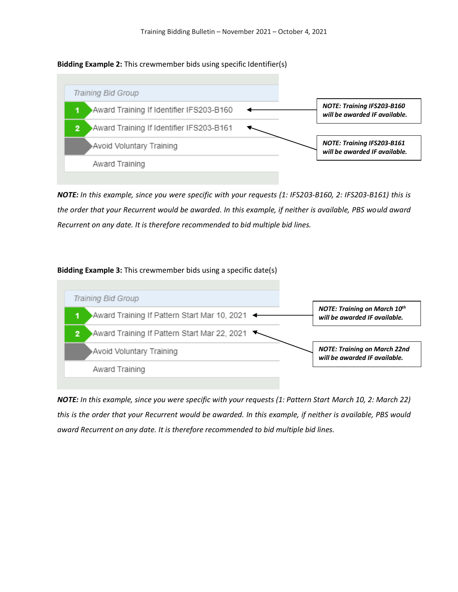#### **Bidding Example 2:** This crewmember bids using specific Identifier(s)



*NOTE: In this example, since you were specific with your requests (1: IFS203-B160, 2: IFS203-B161) this is the order that your Recurrent would be awarded. In this example, if neither is available, PBS would award Recurrent on any date. It is therefore recommended to bid multiple bid lines.*

#### **Bidding Example 3:** This crewmember bids using a specific date(s)



*NOTE: In this example, since you were specific with your requests (1: Pattern Start March 10, 2: March 22) this is the order that your Recurrent would be awarded. In this example, if neither is available, PBS would award Recurrent on any date. It is therefore recommended to bid multiple bid lines.*